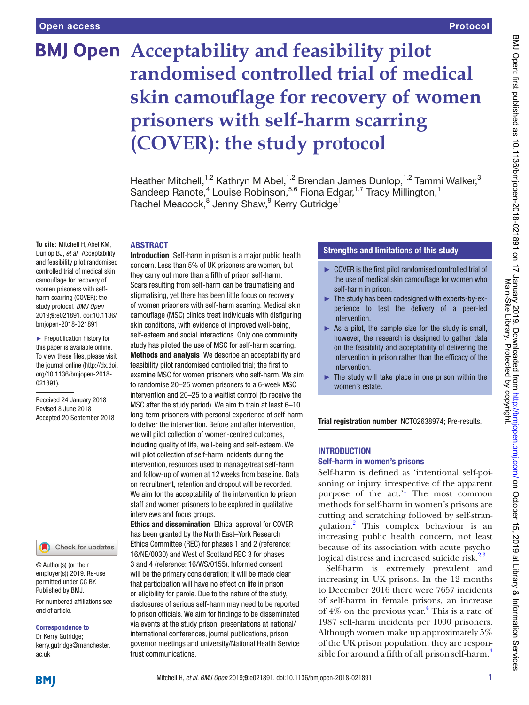# **BMJ Open** Acceptability and feasibility pilot **randomised controlled trial of medical skin camouflage for recovery of women prisoners with self-harm scarring (COVER): the study protocol**

Heather Mitchell,<sup>1,2</sup> Kathryn M Abel,<sup>1,2</sup> Brendan James Dunlop,<sup>1,2</sup> Tammi Walker,<sup>3</sup> Sandeep Ranote,<sup>4</sup> Louise Robinson,<sup>5,6</sup> Fiona Edgar,<sup>1,7</sup> Tracy Millington,<sup>1</sup> Rachel Meacock,<sup>8</sup> Jenny Shaw,<sup>9</sup> Kerry Gutridge<sup>1</sup>

## **ABSTRACT**

**To cite:** Mitchell H, Abel KM, Dunlop BJ, *et al*. Acceptability and feasibility pilot randomised controlled trial of medical skin camouflage for recovery of women prisoners with selfharm scarring (COVER): the study protocol. *BMJ Open* 2019;9:e021891. doi:10.1136/ bmjopen-2018-021891

► Prepublication history for this paper is available online. To view these fles, please visit the journal online [\(http://dx.doi.](http://dx.doi.org/10.1136/bmjopen-2018-021891) [org/10.1136/bmjopen-2018-](http://dx.doi.org/10.1136/bmjopen-2018-021891) [021891\)](http://dx.doi.org/10.1136/bmjopen-2018-021891).

Received 24 January 2018 Revised 8 June 2018 Accepted 20 September 2018



© Author(s) (or their employer(s)) 2019. Re-use permitted under CC BY. Published by BMJ.

For numbered affliations see end of article.

#### Correspondence to

Dr Kerry Gutridge; kerry.gutridge@manchester. ac.uk

Introduction Self-harm in prison is a major public health concern. Less than 5% of UK prisoners are women, but they carry out more than a ffth of prison self-harm. Scars resulting from self-harm can be traumatising and stigmatising, yet there has been little focus on recovery of women prisoners with self-harm scarring. Medical skin camoufage (MSC) clinics treat individuals with disfguring skin conditions, with evidence of improved well-being, self-esteem and social interactions. Only one community study has piloted the use of MSC for self-harm scarring. Methods and analysis We describe an acceptability and feasibility pilot randomised controlled trial; the first to examine MSC for women prisoners who self-harm. We aim to randomise 20–25 women prisoners to a 6-week MSC intervention and 20–25 to a waitlist control (to receive the MSC after the study period). We aim to train at least 6–10 long-term prisoners with personal experience of self-harm to deliver the intervention. Before and after intervention, we will pilot collection of women-centred outcomes, including quality of life, well-being and self-esteem. We will pilot collection of self-harm incidents during the intervention, resources used to manage/treat self-harm and follow-up of women at 12weeks from baseline. Data on recruitment, retention and dropout will be recorded. We aim for the acceptability of the intervention to prison staff and women prisoners to be explored in qualitative interviews and focus groups.

Ethics and dissemination Ethical approval for COVER has been granted by the North East–York Research Ethics Committee (REC) for phases 1 and 2 (reference: 16/NE/0030) and West of Scotland REC 3 for phases 3 and 4 (reference: 16/WS/0155). Informed consent will be the primary consideration; it will be made clear that participation will have no effect on life in prison or eligibility for parole. Due to the nature of the study, disclosures of serious self-harm may need to be reported to prison officials. We aim for findings to be disseminated via events at the study prison, presentations at national/ international conferences, journal publications, prison governor meetings and university/National Health Service trust communications.

## Strengths and limitations of this study

- ► COVER is the frst pilot randomised controlled trial of the use of medical skin camoufage for women who self-harm in prison.
- ► The study has been codesigned with experts-by-experience to test the delivery of a peer-led intervention.
- ► As a pilot, the sample size for the study is small, however, the research is designed to gather data on the feasibility and acceptability of delivering the intervention in prison rather than the efficacy of the intervention.
- $\blacktriangleright$  The study will take place in one prison within the women's estate.

Trial registration number [NCT02638974;](NCT02638974) Pre-results.

## **INTRODUCTION** Self-harm in women's prisons

Self-harm is defined as 'intentional self-poisoning or injury, irrespective of the apparent purpose of the act.<sup>1</sup> The most common methods for self-harm in women's prisons are cutting and scratching followed by self-strangulation.[2](#page-9-1) This complex behaviour is an increasing public health concern, not least because of its association with acute psychological distress and increased suicide risk.<sup>23</sup>

Self-harm is extremely prevalent and increasing in UK prisons. In the 12 months to December 2016 there were 7657 incidents of self-harm in female prisons, an increase of  $4\%$  $4\%$  on the previous year.<sup>4</sup> This is a rate of 1987 self-harm incidents per 1000 prisoners. Although women make up approximately 5% of the UK prison population, they are responsible for around a fifth of all prison self-harm.<sup>4</sup>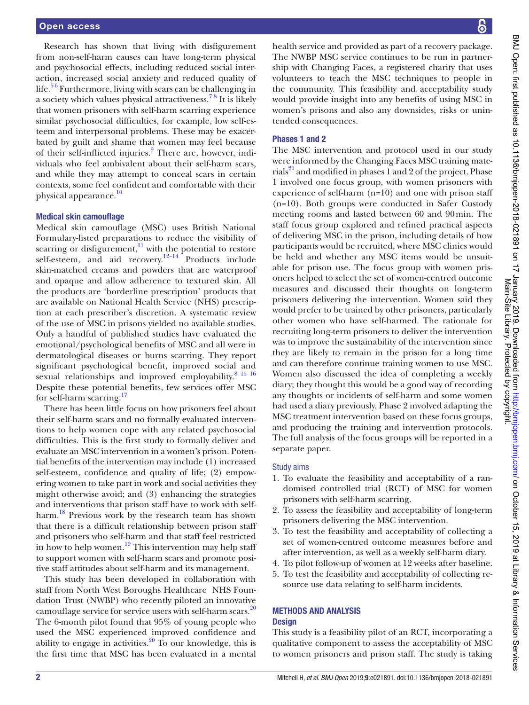Research has shown that living with disfigurement from non-self-harm causes can have long-term physical and psychosocial effects, including reduced social interaction, increased social anxiety and reduced quality of life.<sup>56</sup> Furthermore, living with scars can be challenging in a society which values physical attractiveness.[7 8](#page-9-4) It is likely that women prisoners with self-harm scarring experience similar psychosocial difficulties, for example, low self-esteem and interpersonal problems. These may be exacerbated by guilt and shame that women may feel because of their self-inflicted injuries.<sup>[9](#page-9-5)</sup> There are, however, individuals who feel ambivalent about their self-harm scars, and while they may attempt to conceal scars in certain contexts, some feel confident and comfortable with their physical appearance.[10](#page-9-6)

#### Medical skin camouflage

Medical skin camouflage (MSC) uses British National Formulary-listed preparations to reduce the visibility of scarring or disfigurement, $\frac{11}{11}$  with the potential to restore self-esteem, and aid recovery.<sup>12-14</sup> Products include skin-matched creams and powders that are waterproof and opaque and allow adherence to textured skin. All the products are 'borderline prescription' products that are available on National Health Service (NHS) prescription at each prescriber's discretion. A systematic review of the use of MSC in prisons yielded no available studies. Only a handful of published studies have evaluated the emotional/psychological benefits of MSC and all were in dermatological diseases or burns scarring. They report significant psychological benefit, improved social and sexual relationships and improved employability.<sup>[8 15 16](#page-9-9)</sup> Despite these potential benefits, few services offer MSC for self-harm scarring.<sup>[17](#page-9-10)</sup>

There has been little focus on how prisoners feel about their self-harm scars and no formally evaluated interventions to help women cope with any related psychosocial difficulties. This is the first study to formally deliver and evaluate an MSC intervention in a women's prison. Potential benefits of the intervention may include (1) increased self-esteem, confidence and quality of life; (2) empowering women to take part in work and social activities they might otherwise avoid; and (3) enhancing the strategies and interventions that prison staff have to work with selfharm.<sup>18</sup> Previous work by the research team has shown that there is a difficult relationship between prison staff and prisoners who self-harm and that staff feel restricted in how to help women.<sup>[19](#page-9-12)</sup> This intervention may help staff to support women with self-harm scars and promote positive staff attitudes about self-harm and its management.

This study has been developed in collaboration with staff from North West Boroughs Healthcare NHS Foundation Trust (NWBP) who recently piloted an innovative camouflage service for service users with self-harm scars.<sup>20</sup> The 6-month pilot found that 95% of young people who used the MSC experienced improved confidence and ability to engage in activities.  $20 \overline{10}$  $20 \overline{10}$  our knowledge, this is the first time that MSC has been evaluated in a mental

health service and provided as part of a recovery package. The NWBP MSC service continues to be run in partnership with Changing Faces, a registered charity that uses volunteers to teach the MSC techniques to people in the community. This feasibility and acceptability study would provide insight into any benefits of using MSC in women's prisons and also any downsides, risks or unintended consequences.

## Phases 1 and 2

The MSC intervention and protocol used in our study were informed by the Changing Faces MSC training materials<sup>21</sup> and modified in phases 1 and 2 of the project. Phase 1 involved one focus group, with women prisoners with experience of self-harm (n=10) and one with prison staff (n=10). Both groups were conducted in Safer Custody meeting rooms and lasted between 60 and 90min. The staff focus group explored and refined practical aspects of delivering MSC in the prison, including details of how participants would be recruited, where MSC clinics would be held and whether any MSC items would be unsuitable for prison use. The focus group with women prisoners helped to select the set of women-centred outcome measures and discussed their thoughts on long-term prisoners delivering the intervention. Women said they would prefer to be trained by other prisoners, particularly other women who have self-harmed. The rationale for recruiting long-term prisoners to deliver the intervention was to improve the sustainability of the intervention since they are likely to remain in the prison for a long time and can therefore continue training women to use MSC. Women also discussed the idea of completing a weekly diary; they thought this would be a good way of recording any thoughts or incidents of self-harm and some women had used a diary previously. Phase 2 involved adapting the MSC treatment intervention based on these focus groups, and producing the training and intervention protocols. The full analysis of the focus groups will be reported in a separate paper.

## Study aims

- 1. To evaluate the feasibility and acceptability of a randomised controlled trial (RCT) of MSC for women prisoners with self-harm scarring.
- 2. To assess the feasibility and acceptability of long-term prisoners delivering the MSC intervention.
- 3. To test the feasibility and acceptability of collecting a set of women-centred outcome measures before and after intervention, as well as a weekly self-harm diary.
- 4. To pilot follow-up of women at 12 weeks after baseline.
- 5. To test the feasibility and acceptability of collecting resource use data relating to self-harm incidents.

## Methods and analysis **Design**

This study is a feasibility pilot of an RCT, incorporating a qualitative component to assess the acceptability of MSC to women prisoners and prison staff. The study is taking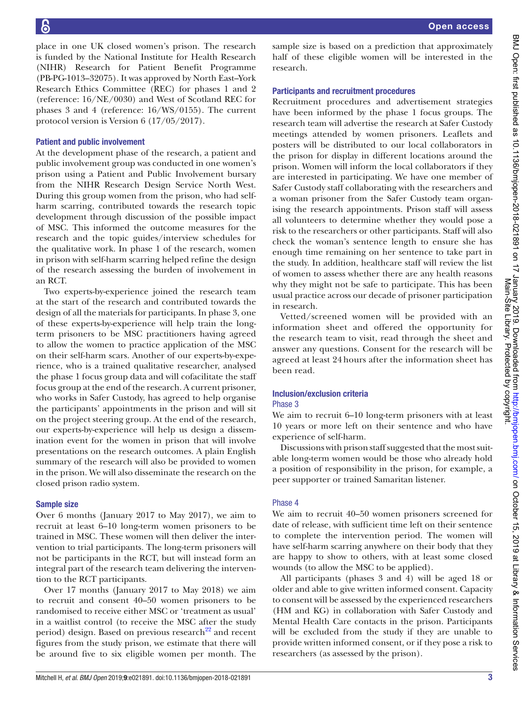place in one UK closed women's prison. The research is funded by the National Institute for Health Research (NIHR) Research for Patient Benefit Programme (PB-PG-1013–32075). It was approved by North East–York Research Ethics Committee (REC) for phases 1 and 2 (reference: 16/NE/0030) and West of Scotland REC for phases 3 and 4 (reference: 16/WS/0155). The current protocol version is Version 6 (17/05/2017).

## Patient and public involvement

At the development phase of the research, a patient and public involvement group was conducted in one women's prison using a Patient and Public Involvement bursary from the NIHR Research Design Service North West. During this group women from the prison, who had selfharm scarring, contributed towards the research topic development through discussion of the possible impact of MSC. This informed the outcome measures for the research and the topic guides/interview schedules for the qualitative work. In phase 1 of the research, women in prison with self-harm scarring helped refine the design of the research assessing the burden of involvement in an RCT.

Two experts-by-experience joined the research team at the start of the research and contributed towards the design of all the materials for participants. In phase 3, one of these experts-by-experience will help train the longterm prisoners to be MSC practitioners having agreed to allow the women to practice application of the MSC on their self-harm scars. Another of our experts-by-experience, who is a trained qualitative researcher, analysed the phase 1 focus group data and will cofacilitate the staff focus group at the end of the research. A current prisoner, who works in Safer Custody, has agreed to help organise the participants' appointments in the prison and will sit on the project steering group. At the end of the research, our experts-by-experience will help us design a dissemination event for the women in prison that will involve presentations on the research outcomes. A plain English summary of the research will also be provided to women in the prison. We will also disseminate the research on the closed prison radio system.

#### Sample size

Over 6 months (January 2017 to May 2017), we aim to recruit at least 6–10 long-term women prisoners to be trained in MSC. These women will then deliver the intervention to trial participants. The long-term prisoners will not be participants in the RCT, but will instead form an integral part of the research team delivering the intervention to the RCT participants.

Over 17 months (January 2017 to May 2018) we aim to recruit and consent 40–50 women prisoners to be randomised to receive either MSC or 'treatment as usual' in a waitlist control (to receive the MSC after the study period) design. Based on previous research $^{22}$  and recent figures from the study prison, we estimate that there will be around five to six eligible women per month. The

sample size is based on a prediction that approximately half of these eligible women will be interested in the research.

#### Participants and recruitment procedures

Recruitment procedures and advertisement strategies have been informed by the phase 1 focus groups. The research team will advertise the research at Safer Custody meetings attended by women prisoners. Leaflets and posters will be distributed to our local collaborators in the prison for display in different locations around the prison. Women will inform the local collaborators if they are interested in participating. We have one member of Safer Custody staff collaborating with the researchers and a woman prisoner from the Safer Custody team organising the research appointments. Prison staff will assess all volunteers to determine whether they would pose a risk to the researchers or other participants. Staff will also check the woman's sentence length to ensure she has enough time remaining on her sentence to take part in the study. In addition, healthcare staff will review the list of women to assess whether there are any health reasons why they might not be safe to participate. This has been usual practice across our decade of prisoner participation in research.

Vetted/screened women will be provided with an information sheet and offered the opportunity for the research team to visit, read through the sheet and answer any questions. Consent for the research will be agreed at least 24 hours after the information sheet has been read.

## Inclusion/exclusion criteria

#### Phase 3

We aim to recruit 6–10 long-term prisoners with at least 10 years or more left on their sentence and who have experience of self-harm.

Discussions with prison staff suggested that the most suitable long-term women would be those who already hold a position of responsibility in the prison, for example, a peer supporter or trained Samaritan listener.

#### Phase 4

We aim to recruit 40–50 women prisoners screened for date of release, with sufficient time left on their sentence to complete the intervention period. The women will have self-harm scarring anywhere on their body that they are happy to show to others, with at least some closed wounds (to allow the MSC to be applied).

All participants (phases 3 and 4) will be aged 18 or older and able to give written informed consent. Capacity to consent will be assessed by the experienced researchers (HM and KG) in collaboration with Safer Custody and Mental Health Care contacts in the prison. Participants will be excluded from the study if they are unable to provide written informed consent, or if they pose a risk to researchers (as assessed by the prison).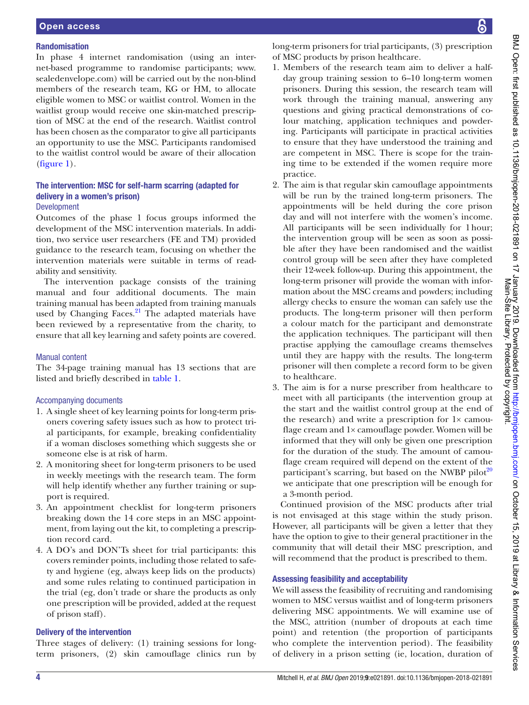## Randomisation

In phase 4 internet randomisation (using an internet-based programme to randomise participants; [www.](www.sealedenvelope.com) [sealedenvelope.com](www.sealedenvelope.com)) will be carried out by the non-blind members of the research team, KG or HM, to allocate eligible women to MSC or waitlist control. Women in the waitlist group would receive one skin-matched prescription of MSC at the end of the research. Waitlist control has been chosen as the comparator to give all participants an opportunity to use the MSC. Participants randomised to the waitlist control would be aware of their allocation ([figure](#page-4-0) 1).

## The intervention: MSC for self-harm scarring (adapted for delivery in a women's prison)

## Development

Outcomes of the phase 1 focus groups informed the development of the MSC intervention materials. In addition, two service user researchers (FE and TM) provided guidance to the research team, focusing on whether the intervention materials were suitable in terms of readability and sensitivity.

The intervention package consists of the training manual and four additional documents. The main training manual has been adapted from training manuals used by Changing Faces.<sup>21</sup> The adapted materials have been reviewed by a representative from the charity, to ensure that all key learning and safety points are covered.

## Manual content

The 34-page training manual has 13 sections that are listed and briefly described in [table](#page-5-0) 1.

## Accompanying documents

- 1. A single sheet of key learning points for long-term prisoners covering safety issues such as how to protect trial participants, for example, breaking confidentiality if a woman discloses something which suggests she or someone else is at risk of harm.
- 2. A monitoring sheet for long-term prisoners to be used in weekly meetings with the research team. The form will help identify whether any further training or support is required.
- 3. An appointment checklist for long-term prisoners breaking down the 14 core steps in an MSC appointment, from laying out the kit, to completing a prescription record card.
- 4. A DO's and DON'Ts sheet for trial participants: this covers reminder points, including those related to safety and hygiene (eg, always keep lids on the products) and some rules relating to continued participation in the trial (eg, don't trade or share the products as only one prescription will be provided, added at the request of prison staff).

## Delivery of the intervention

Three stages of delivery: (1) training sessions for longterm prisoners, (2) skin camouflage clinics run by long-term prisoners for trial participants, (3) prescription of MSC products by prison healthcare.

- 1. Members of the research team aim to deliver a halfday group training session to 6–10 long-term women prisoners. During this session, the research team will work through the training manual, answering any questions and giving practical demonstrations of colour matching, application techniques and powdering. Participants will participate in practical activities to ensure that they have understood the training and are competent in MSC. There is scope for the training time to be extended if the women require more practice.
- 2. The aim is that regular skin camouflage appointments will be run by the trained long-term prisoners. The appointments will be held during the core prison day and will not interfere with the women's income. All participants will be seen individually for 1hour; the intervention group will be seen as soon as possible after they have been randomised and the waitlist control group will be seen after they have completed their 12-week follow-up. During this appointment, the long-term prisoner will provide the woman with information about the MSC creams and powders; including allergy checks to ensure the woman can safely use the products. The long-term prisoner will then perform a colour match for the participant and demonstrate the application techniques. The participant will then practise applying the camouflage creams themselves until they are happy with the results. The long-term prisoner will then complete a record form to be given to healthcare.
- 3. The aim is for a nurse prescriber from healthcare to meet with all participants (the intervention group at the start and the waitlist control group at the end of the research) and write a prescription for  $1 \times$  camouflage cream and 1× camouflage powder. Women will be informed that they will only be given one prescription for the duration of the study. The amount of camouflage cream required will depend on the extent of the participant's scarring, but based on the NWBP pilot<sup>[20](#page-9-13)</sup> we anticipate that one prescription will be enough for a 3-month period.

Continued provision of the MSC products after trial is not envisaged at this stage within the study prison. However, all participants will be given a letter that they have the option to give to their general practitioner in the community that will detail their MSC prescription, and will recommend that the product is prescribed to them.

## Assessing feasibility and acceptability

We will assess the feasibility of recruiting and randomising women to MSC versus waitlist and of long-term prisoners delivering MSC appointments. We will examine use of the MSC, attrition (number of dropouts at each time point) and retention (the proportion of participants who complete the intervention period). The feasibility of delivery in a prison setting (ie, location, duration of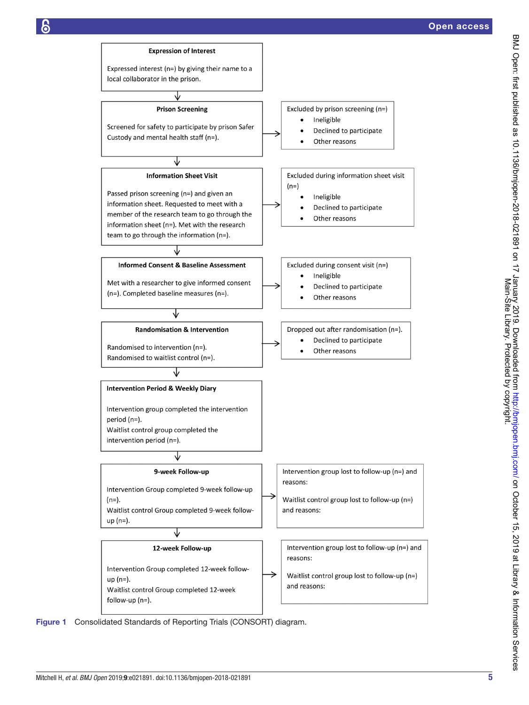

<span id="page-4-0"></span>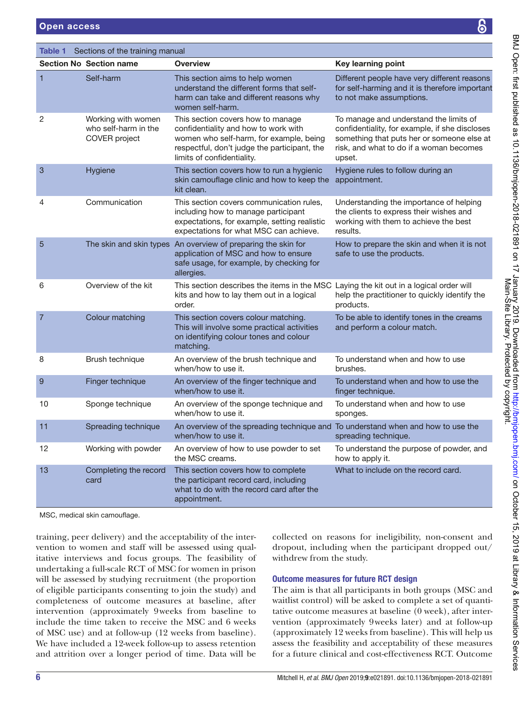<span id="page-5-0"></span>Table 1 Sections of the training manual

|                | <b>Section No Section name</b>                              | <b>Overview</b>                                                                                                                                                                                    | Key learning point                                                                                                                                                                          |
|----------------|-------------------------------------------------------------|----------------------------------------------------------------------------------------------------------------------------------------------------------------------------------------------------|---------------------------------------------------------------------------------------------------------------------------------------------------------------------------------------------|
| 1              | Self-harm                                                   | This section aims to help women<br>understand the different forms that self-<br>harm can take and different reasons why<br>women self-harm.                                                        | Different people have very different reasons<br>for self-harming and it is therefore important<br>to not make assumptions.                                                                  |
| 2              | Working with women<br>who self-harm in the<br>COVER project | This section covers how to manage<br>confidentiality and how to work with<br>women who self-harm, for example, being<br>respectful, don't judge the participant, the<br>limits of confidentiality. | To manage and understand the limits of<br>confidentiality, for example, if she discloses<br>something that puts her or someone else at<br>risk, and what to do if a woman becomes<br>upset. |
| 3              | Hygiene                                                     | This section covers how to run a hygienic<br>skin camouflage clinic and how to keep the<br>kit clean.                                                                                              | Hygiene rules to follow during an<br>appointment.                                                                                                                                           |
| $\overline{4}$ | Communication                                               | This section covers communication rules.<br>including how to manage participant<br>expectations, for example, setting realistic<br>expectations for what MSC can achieve.                          | Understanding the importance of helping<br>the clients to express their wishes and<br>working with them to achieve the best<br>results.                                                     |
| 5              |                                                             | The skin and skin types An overview of preparing the skin for<br>application of MSC and how to ensure<br>safe usage, for example, by checking for<br>allergies.                                    | How to prepare the skin and when it is not<br>safe to use the products.                                                                                                                     |
| 6              | Overview of the kit                                         | This section describes the items in the MSC Laying the kit out in a logical order will<br>kits and how to lay them out in a logical<br>order.                                                      | help the practitioner to quickly identify the<br>products.                                                                                                                                  |
| $\overline{7}$ | Colour matching                                             | This section covers colour matching.<br>This will involve some practical activities<br>on identifying colour tones and colour<br>matching.                                                         | To be able to identify tones in the creams<br>and perform a colour match.                                                                                                                   |
| 8              | Brush technique                                             | An overview of the brush technique and<br>when/how to use it.                                                                                                                                      | To understand when and how to use<br>brushes.                                                                                                                                               |
| 9              | Finger technique                                            | An overview of the finger technique and<br>when/how to use it.                                                                                                                                     | To understand when and how to use the<br>finger technique.                                                                                                                                  |
| 10             | Sponge technique                                            | An overview of the sponge technique and<br>when/how to use it.                                                                                                                                     | To understand when and how to use<br>sponges.                                                                                                                                               |
| 11             | Spreading technique                                         | An overview of the spreading technique and To understand when and how to use the<br>when/how to use it.                                                                                            | spreading technique.                                                                                                                                                                        |
| 12             | Working with powder                                         | An overview of how to use powder to set<br>the MSC creams.                                                                                                                                         | To understand the purpose of powder, and<br>how to apply it.                                                                                                                                |
| 13             | Completing the record<br>card                               | This section covers how to complete<br>the participant record card, including<br>what to do with the record card after the<br>appointment.                                                         | What to include on the record card.                                                                                                                                                         |

MSC, medical skin camoufage.

training, peer delivery) and the acceptability of the intervention to women and staff will be assessed using qualitative interviews and focus groups. The feasibility of undertaking a full-scale RCT of MSC for women in prison will be assessed by studying recruitment (the proportion of eligible participants consenting to join the study) and completeness of outcome measures at baseline, after intervention (approximately 9weeks from baseline to include the time taken to receive the MSC and 6 weeks of MSC use) and at follow-up (12 weeks from baseline). We have included a 12-week follow-up to assess retention and attrition over a longer period of time. Data will be

collected on reasons for ineligibility, non-consent and dropout, including when the participant dropped out/ withdrew from the study.

## Outcome measures for future RCT design

The aim is that all participants in both groups (MSC and waitlist control) will be asked to complete a set of quantitative outcome measures at baseline (0 week), after intervention (approximately 9weeks later) and at follow-up (approximately 12 weeks from baseline). This will help us assess the feasibility and acceptability of these measures for a future clinical and cost-effectiveness RCT. Outcome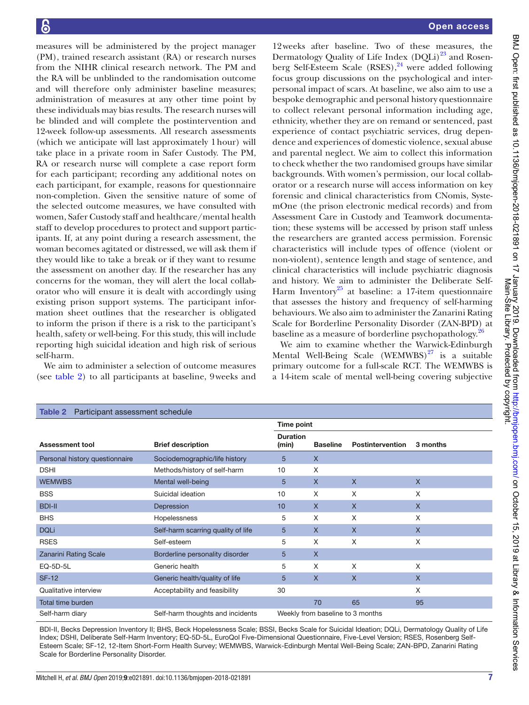measures will be administered by the project manager (PM), trained research assistant (RA) or research nurses from the NIHR clinical research network. The PM and the RA will be unblinded to the randomisation outcome and will therefore only administer baseline measures; administration of measures at any other time point by these individuals may bias results. The research nurses will be blinded and will complete the postintervention and 12-week follow-up assessments. All research assessments (which we anticipate will last approximately 1hour) will take place in a private room in Safer Custody. The PM, RA or research nurse will complete a case report form for each participant; recording any additional notes on each participant, for example, reasons for questionnaire non-completion. Given the sensitive nature of some of the selected outcome measures, we have consulted with women, Safer Custody staff and healthcare/mental health staff to develop procedures to protect and support participants. If, at any point during a research assessment, the woman becomes agitated or distressed, we will ask them if they would like to take a break or if they want to resume the assessment on another day. If the researcher has any concerns for the woman, they will alert the local collaborator who will ensure it is dealt with accordingly using existing prison support systems. The participant information sheet outlines that the researcher is obligated to inform the prison if there is a risk to the participant's health, safety or well-being. For this study, this will include reporting high suicidal ideation and high risk of serious self-harm.

We aim to administer a selection of outcome measures (see [table](#page-6-0) 2) to all participants at baseline, 9weeks and

12weeks after baseline. Two of these measures, the Dermatology Quality of Life Index  $(DQLi)^{23}$  and Rosenberg Self-Esteem Scale  $(RSES)$ ,<sup>24</sup> were added following focus group discussions on the psychological and interpersonal impact of scars. At baseline, we also aim to use a bespoke demographic and personal history questionnaire to collect relevant personal information including age, ethnicity, whether they are on remand or sentenced, past experience of contact psychiatric services, drug dependence and experiences of domestic violence, sexual abuse and parental neglect. We aim to collect this information to check whether the two randomised groups have similar backgrounds. With women's permission, our local collaborator or a research nurse will access information on key forensic and clinical characteristics from CNomis, SystemOne (the prison electronic medical records) and from Assessment Care in Custody and Teamwork documentation; these systems will be accessed by prison staff unless the researchers are granted access permission. Forensic characteristics will include types of offence (violent or non-violent), sentence length and stage of sentence, and clinical characteristics will include psychiatric diagnosis and history. We aim to administer the Deliberate Self-Harm Inventory<sup>25</sup> at baseline: a 17-item questionnaire that assesses the history and frequency of self-harming behaviours. We also aim to administer the Zanarini Rating Scale for Borderline Personality Disorder (ZAN-BPD) at baseline as a measure of borderline psychopathology.<sup>[26](#page-10-5)</sup>

We aim to examine whether the Warwick-Edinburgh Mental Well-Being Scale  $(WEMWBS)^{27}$  $(WEMWBS)^{27}$  $(WEMWBS)^{27}$  is a suitable primary outcome for a full-scale RCT. The WEMWBS is a 14-item scale of mental well-being covering subjective

<span id="page-6-0"></span>

| Participant assessment schedule<br>Table 2          |                                    |                                  |                 |                         |              |  |  |  |  |
|-----------------------------------------------------|------------------------------------|----------------------------------|-----------------|-------------------------|--------------|--|--|--|--|
|                                                     |                                    | Time point                       |                 |                         |              |  |  |  |  |
| <b>Assessment tool</b>                              | <b>Brief description</b>           | <b>Duration</b><br>(min)         | <b>Baseline</b> | <b>Postintervention</b> | 3 months     |  |  |  |  |
| Personal history questionnaire                      | Sociodemographic/life history      | 5                                | $\mathsf{X}$    |                         |              |  |  |  |  |
| <b>DSHI</b>                                         | Methods/history of self-harm       | 10                               | X               |                         |              |  |  |  |  |
| <b>WEMWBS</b>                                       | Mental well-being                  | 5                                | $\sf X$         | $\mathsf{X}$            | $\mathsf{X}$ |  |  |  |  |
| <b>BSS</b>                                          | Suicidal ideation                  | 10                               | X               | X                       | X            |  |  |  |  |
| <b>BDI-II</b>                                       | Depression                         | 10                               | $\mathsf{X}$    | $\mathsf{X}$            | $\mathsf{X}$ |  |  |  |  |
| <b>BHS</b>                                          | Hopelessness                       | 5                                | X               | X                       | X            |  |  |  |  |
| <b>DQLi</b>                                         | Self-harm scarring quality of life | $\overline{5}$                   | $\mathsf{X}$    | $\mathsf{X}$            | $\mathsf{X}$ |  |  |  |  |
| <b>RSES</b>                                         | Self-esteem                        | 5                                | X               | X                       | X            |  |  |  |  |
| <b>Zanarini Rating Scale</b>                        | Borderline personality disorder    | 5                                | $\mathsf{X}$    |                         |              |  |  |  |  |
| EQ-5D-5L                                            | Generic health                     | 5                                | X               | X                       | X            |  |  |  |  |
| <b>SF-12</b>                                        | Generic health/quality of life     | 5                                | $\mathsf{X}$    | $\mathsf{X}$            | $\mathsf{X}$ |  |  |  |  |
| Qualitative interview                               | Acceptability and feasibility      | 30                               |                 |                         | X            |  |  |  |  |
| Total time burden                                   |                                    |                                  | 70              | 65                      | 95           |  |  |  |  |
| Self-harm diary<br>Self-harm thoughts and incidents |                                    | Weekly from baseline to 3 months |                 |                         |              |  |  |  |  |

BDI-II, Becks Depression Inventory II; BHS, Beck Hopelessness Scale; BSSI, Becks Scale for Suicidal Ideation; DQLi, Dermatology Quality of Life Index; DSHI, Deliberate Self-Harm Inventory; EQ-5D-5L, EuroQol Five-Dimensional Questionnaire, Five-Level Version; RSES, Rosenberg Self-Esteem Scale; SF-12, 12-Item Short-Form Health Survey; WEMWBS, Warwick-Edinburgh Mental Well-Being Scale; ZAN-BPD, Zanarini Rating Scale for Borderline Personality Disorder.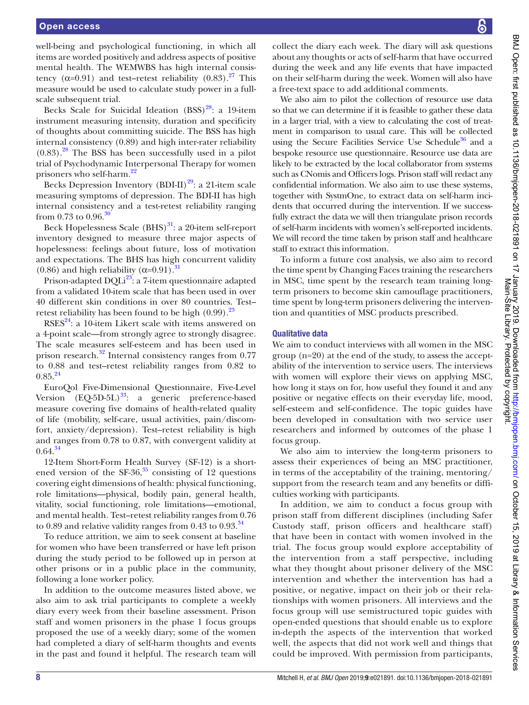well-being and psychological functioning, in which all items are worded positively and address aspects of positive mental health. The WEMWBS has high internal consistency ( $\alpha$ =0.91) and test–retest reliability (0.83).<sup>[27](#page-10-6)</sup> This measure would be used to calculate study power in a fullscale subsequent trial.

Becks Scale for Suicidal Ideation  $(BSS)^{28}$ : a 19-item instrument measuring intensity, duration and specificity of thoughts about committing suicide. The BSS has high internal consistency (0.89) and high inter-rater reliability  $(0.83)$ .<sup>28</sup> The BSS has been successfully used in a pilot trial of Psychodynamic Interpersonal Therapy for women prisoners who self-harm.<sup>22</sup>

Becks Depression Inventory (BDI-II) $^{29}$ : a 21-item scale measuring symptoms of depression. The BDI-II has high internal consistency and a test-retest reliability ranging from 0.73 to 0.96. $\frac{30}{10}$ 

Beck Hopelessness Scale  $(BHS)^{31}$  $(BHS)^{31}$  $(BHS)^{31}$ : a 20-item self-report inventory designed to measure three major aspects of hopelessness: feelings about future, loss of motivation and expectations. The BHS has high concurrent validity (0.86) and high reliability ( $\alpha$ =0.91).<sup>31</sup>

Prison-adapted DQLi<sup>23</sup>: a 7-item questionnaire adapted from a validated 10-item scale that has been used in over 40 different skin conditions in over 80 countries. Test– retest reliability has been found to be high  $(0.99)$ .<sup>23</sup>

 $RSS<sup>24</sup>$ : a 10-item Likert scale with items answered on a 4-point scale—from strongly agree to strongly disagree. The scale measures self-esteem and has been used in prison research.<sup>32</sup> Internal consistency ranges from 0.77 to 0.88 and test–retest reliability ranges from 0.82 to  $0.85^{24}$ 

EuroQol Five-Dimensional Questionnaire, Five-Level Version  $(EQ-5D-5L)^{33}$ : a generic preference-based measure covering five domains of health-related quality of life (mobility, self-care, usual activities, pain/discomfort, anxiety/depression). Test–retest reliability is high and ranges from 0.78 to 0.87, with convergent validity at  $0.64.<sup>34</sup>$ 

12-Item Short-Form Health Survey (SF-12) is a shortened version of the SF-36, $35$  consisting of 12 questions covering eight dimensions of health: physical functioning, role limitations—physical, bodily pain, general health, vitality, social functioning, role limitations—emotional, and mental health. Test–retest reliability ranges from 0.76 to 0.89 and relative validity ranges from 0.43 to 0.93. $^{34}$  $^{34}$  $^{34}$ 

To reduce attrition, we aim to seek consent at baseline for women who have been transferred or have left prison during the study period to be followed up in person at other prisons or in a public place in the community, following a lone worker policy.

In addition to the outcome measures listed above, we also aim to ask trial participants to complete a weekly diary every week from their baseline assessment. Prison staff and women prisoners in the phase 1 focus groups proposed the use of a weekly diary; some of the women had completed a diary of self-harm thoughts and events in the past and found it helpful. The research team will collect the diary each week. The diary will ask questions about any thoughts or acts of self-harm that have occurred during the week and any life events that have impacted on their self-harm during the week. Women will also have a free-text space to add additional comments.

We also aim to pilot the collection of resource use data so that we can determine if it is feasible to gather these data in a larger trial, with a view to calculating the cost of treatment in comparison to usual care. This will be collected using the Secure Facilities Service Use Schedule<sup>36</sup> and a bespoke resource use questionnaire. Resource use data are likely to be extracted by the local collaborator from systems such as CNomis and Officers logs. Prison staff will redact any confidential information. We also aim to use these systems, together with SystmOne, to extract data on self-harm incidents that occurred during the intervention. If we successfully extract the data we will then triangulate prison records of self-harm incidents with women's self-reported incidents. We will record the time taken by prison staff and healthcare staff to extract this information.

To inform a future cost analysis, we also aim to record the time spent by Changing Faces training the researchers in MSC, time spent by the research team training longterm prisoners to become skin camouflage practitioners, time spent by long-term prisoners delivering the intervention and quantities of MSC products prescribed.

## Qualitative data

We aim to conduct interviews with all women in the MSC group (n=20) at the end of the study, to assess the acceptability of the intervention to service users. The interviews with women will explore their views on applying MSC, how long it stays on for, how useful they found it and any positive or negative effects on their everyday life, mood, self-esteem and self-confidence. The topic guides have been developed in consultation with two service user researchers and informed by outcomes of the phase 1 focus group.

We also aim to interview the long-term prisoners to assess their experiences of being an MSC practitioner, in terms of the acceptability of the training, mentoring/ support from the research team and any benefits or difficulties working with participants.

In addition, we aim to conduct a focus group with prison staff from different disciplines (including Safer Custody staff, prison officers and healthcare staff) that have been in contact with women involved in the trial. The focus group would explore acceptability of the intervention from a staff perspective, including what they thought about prisoner delivery of the MSC intervention and whether the intervention has had a positive, or negative, impact on their job or their relationships with women prisoners. All interviews and the focus group will use semistructured topic guides with open-ended questions that should enable us to explore in-depth the aspects of the intervention that worked well, the aspects that did not work well and things that could be improved. With permission from participants,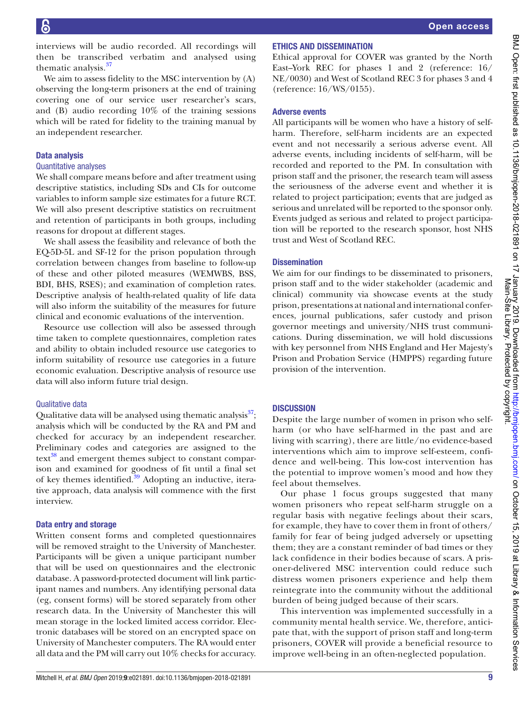BMJ Open: first published as 10.1136/bmjopen-2018-021891 on 17 January 2019. Downloaded from http://bmjopen.bmj.com/ on October 15, 2019 at Library & Information Services<br>Main-Site Published as 10.1136/bmjopen-2018-021891 BMJ Open: first published as 10.1136/bmjopen-2018-0121891 on 17 January 2019. Downloaded from <http://bmjopen.bmj.com/> on October 15, 2019 at Library & Information Services Main-Site Library. Protected by copyright.

interviews will be audio recorded. All recordings will then be transcribed verbatim and analysed using thematic analysis.<sup>[37](#page-10-16)</sup>

We aim to assess fidelity to the MSC intervention by (A) observing the long-term prisoners at the end of training covering one of our service user researcher's scars, and (B) audio recording 10% of the training sessions which will be rated for fidelity to the training manual by an independent researcher.

## Data analysis

#### Quantitative analyses

We shall compare means before and after treatment using descriptive statistics, including SDs and CIs for outcome variables to inform sample size estimates for a future RCT. We will also present descriptive statistics on recruitment and retention of participants in both groups, including reasons for dropout at different stages.

We shall assess the feasibility and relevance of both the EQ-5D-5L and SF-12 for the prison population through correlation between changes from baseline to follow-up of these and other piloted measures (WEMWBS, BSS, BDI, BHS, RSES); and examination of completion rates. Descriptive analysis of health-related quality of life data will also inform the suitability of the measures for future clinical and economic evaluations of the intervention.

Resource use collection will also be assessed through time taken to complete questionnaires, completion rates and ability to obtain included resource use categories to inform suitability of resource use categories in a future economic evaluation. Descriptive analysis of resource use data will also inform future trial design.

## Qualitative data

Qualitative data will be analysed using thematic analysis<sup>[37](#page-10-16)</sup>; analysis which will be conducted by the RA and PM and checked for accuracy by an independent researcher. Preliminary codes and categories are assigned to the  $text{text}^3$  and emergent themes subject to constant comparison and examined for goodness of fit until a final set of key themes identified.<sup>39</sup> Adopting an inductive, iterative approach, data analysis will commence with the first interview.

## Data entry and storage

Written consent forms and completed questionnaires will be removed straight to the University of Manchester. Participants will be given a unique participant number that will be used on questionnaires and the electronic database. A password-protected document will link participant names and numbers. Any identifying personal data (eg, consent forms) will be stored separately from other research data. In the University of Manchester this will mean storage in the locked limited access corridor. Electronic databases will be stored on an encrypted space on University of Manchester computers. The RA would enter all data and the PM will carry out 10% checks for accuracy.

## Ethics and dissemination

Ethical approval for COVER was granted by the North East–York REC for phases 1 and 2 (reference: 16/ NE/0030) and West of Scotland REC 3 for phases 3 and 4 (reference: 16/WS/0155).

## Adverse events

All participants will be women who have a history of selfharm. Therefore, self-harm incidents are an expected event and not necessarily a serious adverse event. All adverse events, including incidents of self-harm, will be recorded and reported to the PM. In consultation with prison staff and the prisoner, the research team will assess the seriousness of the adverse event and whether it is related to project participation; events that are judged as serious and unrelated will be reported to the sponsor only. Events judged as serious and related to project participation will be reported to the research sponsor, host NHS trust and West of Scotland REC.

## **Dissemination**

We aim for our findings to be disseminated to prisoners, prison staff and to the wider stakeholder (academic and clinical) community via showcase events at the study prison, presentations at national and international conferences, journal publications, safer custody and prison governor meetings and university/NHS trust communications. During dissemination, we will hold discussions with key personnel from NHS England and Her Majesty's Prison and Probation Service (HMPPS) regarding future provision of the intervention.

## **DISCUSSION**

Despite the large number of women in prison who selfharm (or who have self-harmed in the past and are living with scarring), there are little/no evidence-based interventions which aim to improve self-esteem, confidence and well-being. This low-cost intervention has the potential to improve women's mood and how they feel about themselves.

Our phase 1 focus groups suggested that many women prisoners who repeat self-harm struggle on a regular basis with negative feelings about their scars, for example, they have to cover them in front of others/ family for fear of being judged adversely or upsetting them; they are a constant reminder of bad times or they lack confidence in their bodies because of scars. A prisoner-delivered MSC intervention could reduce such distress women prisoners experience and help them reintegrate into the community without the additional burden of being judged because of their scars.

This intervention was implemented successfully in a community mental health service. We, therefore, anticipate that, with the support of prison staff and long-term prisoners, COVER will provide a beneficial resource to improve well-being in an often-neglected population.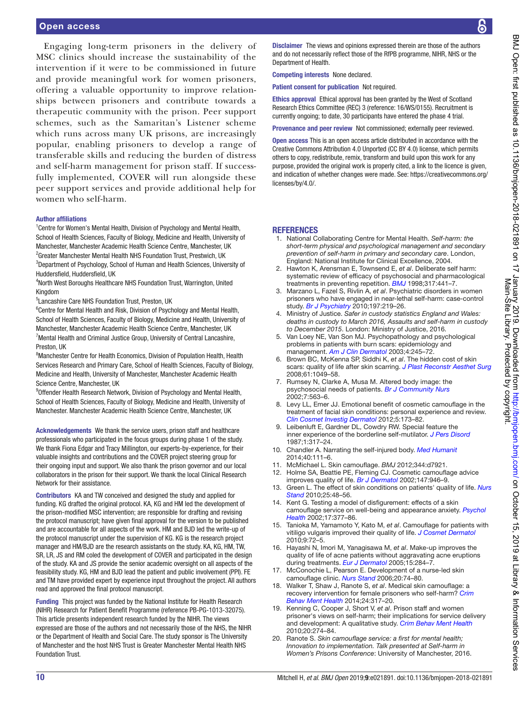## Open access

Engaging long-term prisoners in the delivery of MSC clinics should increase the sustainability of the intervention if it were to be commissioned in future and provide meaningful work for women prisoners, offering a valuable opportunity to improve relationships between prisoners and contribute towards a therapeutic community with the prison. Peer support schemes, such as the Samaritan's Listener scheme which runs across many UK prisons, are increasingly popular, enabling prisoners to develop a range of transferable skills and reducing the burden of distress and self-harm management for prison staff. If successfully implemented, COVER will run alongside these peer support services and provide additional help for women who self-harm.

#### Author affliations

<sup>1</sup> Centre for Women's Mental Health, Division of Psychology and Mental Health, School of Health Sciences, Faculty of Biology, Medicine and Health, University of Manchester, Manchester Academic Health Science Centre, Manchester, UK <sup>2</sup>Greater Manchester Mental Health NHS Foundation Trust, Prestwich, UK <sup>3</sup>Department of Psychology, School of Human and Health Sciences, University of Huddersfield, Huddersfield, UK

4 North West Boroughs Healthcare NHS Foundation Trust, Warrington, United Kingdom

5 Lancashire Care NHS Foundation Trust, Preston, UK

<sup>6</sup>Centre for Mental Health and Risk, Division of Psychology and Mental Health, School of Health Sciences, Faculty of Biology, Medicine and Health, University of Manchester, Manchester Academic Health Science Centre, Manchester, UK <sup>7</sup> Mental Health and Criminal Justice Group, University of Central Lancashire, Preston, UK

<sup>8</sup> Manchester Centre for Health Economics, Division of Population Health, Health Services Research and Primary Care, School of Health Sciences, Faculty of Biology, Medicine and Health, University of Manchester, Manchester Academic Health Science Centre, Manchester, UK

<sup>9</sup>Offender Health Research Network, Division of Psychology and Mental Health, School of Health Sciences, Faculty of Biology, Medicine and Health, University of Manchester. Manchester Academic Health Science Centre, Manchester, UK

Acknowledgements We thank the service users, prison staff and healthcare professionals who participated in the focus groups during phase 1 of the study. We thank Fiona Edgar and Tracy Millington, our experts-by-experience, for their valuable insights and contributions and the COVER project steering group for their ongoing input and support. We also thank the prison governor and our local collaborators in the prison for their support. We thank the local Clinical Research Network for their assistance.

Contributors KA and TW conceived and designed the study and applied for funding. KG drafted the original protocol. KA, KG and HM led the development of the prison-modifed MSC intervention; are responsible for drafting and revising the protocol manuscript; have given final approval for the version to be published and are accountable for all aspects of the work. HM and BJD led the write-up of the protocol manuscript under the supervision of KG. KG is the research project manager and HM/BJD are the research assistants on the study. KA, KG, HM, TW, SR, LR, JS and RM coled the development of COVER and participated in the design of the study. KA and JS provide the senior academic oversight on all aspects of the feasibility study. KG, HM and BJD lead the patient and public involvement (PPI). FE and TM have provided expert by experience input throughout the project. All authors read and approved the final protocol manuscript.

Funding This project was funded by the National Institute for Health Research (NIHR) Research for Patient Beneft Programme (reference PB-PG-1013-32075). This article presents independent research funded by the NIHR. The views expressed are those of the authors and not necessarily those of the NHS, the NIHR or the Department of Health and Social Care. The study sponsor is The University of Manchester and the host NHS Trust is Greater Manchester Mental Health NHS Foundation Trust.

Disclaimer The views and opinions expressed therein are those of the authors and do not necessarily reflect those of the RfPB programme, NIHR, NHS or the Department of Health.

Competing interests None declared.

Patient consent for publication Not required.

Ethics approval Ethical approval has been granted by the West of Scotland Research Ethics Committee (REC) 3 (reference: 16/WS/0155). Recruitment is currently ongoing; to date, 30 participants have entered the phase 4 trial.

Provenance and peer review Not commissioned; externally peer reviewed.

Open access This is an open access article distributed in accordance with the Creative Commons Attribution 4.0 Unported (CC BY 4.0) license, which permits others to copy, redistribute, remix, transform and build upon this work for any purpose, provided the original work is properly cited, a link to the licence is given, and indication of whether changes were made. See: [https://creativecommons.org/](https://creativecommons.org/licenses/by/4.0/) [licenses/by/4.0/](https://creativecommons.org/licenses/by/4.0/).

#### **REFERENCES**

- <span id="page-9-0"></span>1. National Collaborating Centre for Mental Health. *Self-harm: the short-term physical and psychological management and secondary prevention of self-harm in primary and secondary care*. London, England: National Institute for Clinical Excellence, 2004.
- <span id="page-9-1"></span>2. Hawton K, Arensman E, Townsend E, *et al*. Deliberate self harm: systematic review of efficacy of psychosocial and pharmacological treatments in preventing repetition. *[BMJ](http://dx.doi.org/10.1136/bmj.317.7156.441)* 1998;317:441–7.
- 3. Marzano L, Fazel S, Rivlin A, *et al*. Psychiatric disorders in women prisoners who have engaged in near-lethal self-harm: case-control study. *[Br J Psychiatry](http://dx.doi.org/10.1192/bjp.bp.109.075424)* 2010;197:219–26.
- <span id="page-9-2"></span>4. Ministry of Justice. *Safer in custody statistics England and Wales: deaths in custody to March 2016, Assaults and self-harm in custody to December 2015*. London: Ministry of Justice, 2016.
- <span id="page-9-3"></span>5. Van Loey NE, Van Son MJ. Psychopathology and psychological problems in patients with burn scars: epidemiology and management. *[Am J Clin Dermatol](http://dx.doi.org/10.2165/00128071-200304040-00004)* 2003;4:245–72.
- 6. Brown BC, McKenna SP, Siddhi K, *et al*. The hidden cost of skin scars: quality of life after skin scarring. *[J Plast Reconstr Aesthet Surg](http://dx.doi.org/10.1016/j.bjps.2008.03.020)* 2008;61:1049–58.
- <span id="page-9-4"></span>7. Rumsey N, Clarke A, Musa M. Altered body image: the psychosocial needs of patients. *[Br J Community Nurs](http://dx.doi.org/10.12968/bjcn.2002.7.11.10886)* 2002;7:563–6.
- <span id="page-9-9"></span>8. Levy LL, Emer JJ. Emotional benefit of cosmetic camouflage in the treatment of facial skin conditions: personal experience and review. *[Clin Cosmet Investig Dermatol](http://dx.doi.org/10.2147/CCID.S33860)* 2012;5:173–82.
- <span id="page-9-5"></span>9. Leibenluft E, Gardner DL, Cowdry RW. Special feature the inner experience of the borderline self-mutilator. *[J Pers Disord](http://dx.doi.org/10.1521/pedi.1987.1.4.317)* 1987;1:317–24.
- <span id="page-9-6"></span>10. Chandler A. Narrating the self-injured body. *[Med Humanit](http://dx.doi.org/10.1136/medhum-2013-010488)* 2014;40:111–6.
- <span id="page-9-7"></span>11. McMichael L. Skin camoufage. *BMJ* 2012;344:d7921.
- <span id="page-9-8"></span>12. Holme SA, Beattie PE, Fleming CJ. Cosmetic camoufage advice improves quality of life. *[Br J Dermatol](http://dx.doi.org/10.1046/j.1365-2133.2002.04900.x)* 2002;147:946–9.
- 13. Green L. The effect of skin conditions on patients' quality of life. *[Nurs](http://dx.doi.org/10.7748/ns.25.9.48.s52)  [Stand](http://dx.doi.org/10.7748/ns.25.9.48.s52)* 2010;25:48–56.
- 14. Kent G. Testing a model of disfgurement: effects of a skin camoufage service on well-being and appearance anxiety. *[Psychol](http://dx.doi.org/10.1080/08870440290029601)  [Health](http://dx.doi.org/10.1080/08870440290029601)* 2002;17:377–86.
- 15. Tanioka M, Yamamoto Y, Kato M, *et al*. Camoufage for patients with vitiligo vulgaris improved their quality of life. *[J Cosmet Dermatol](http://dx.doi.org/10.1111/j.1473-2165.2010.00479.x)* 2010;9:72–5.
- 16. Hayashi N, Imori M, Yanagisawa M, *et al*. Make-up improves the quality of life of acne patients without aggravating acne eruptions during treatments. *[Eur J Dermatol](http://www.ncbi.nlm.nih.gov/pubmed/16048760)* 2005;15:284–7.
- <span id="page-9-10"></span>17. McConochie L, Pearson E. Development of a nurse-led skin camoufage clinic. *[Nurs Stand](http://dx.doi.org/10.7748/ns.20.24.74.s59)* 2006;20:74–80.
- <span id="page-9-11"></span>18. Walker T, Shaw J, Ranote S, *et al*. Medical skin camoufage: a recovery intervention for female prisoners who self-harm? *[Crim](http://dx.doi.org/10.1002/cbm.1943)  [Behav Ment Health](http://dx.doi.org/10.1002/cbm.1943)* 2014;24:317–20.
- <span id="page-9-12"></span>19. Kenning C, Cooper J, Short V, *et al*. Prison staff and women prisoner's views on self-harm; their implications for service delivery and development: A qualitative study. *[Crim Behav Ment Health](http://dx.doi.org/10.1002/cbm.777)* 2010;20:274–84.
- <span id="page-9-13"></span>20. Ranote S. *Skin camoufage service: a frst for mental health; Innovation to implementation. Talk presented at Self-harm in Women's Prisons Conference*: University of Manchester, 2016.